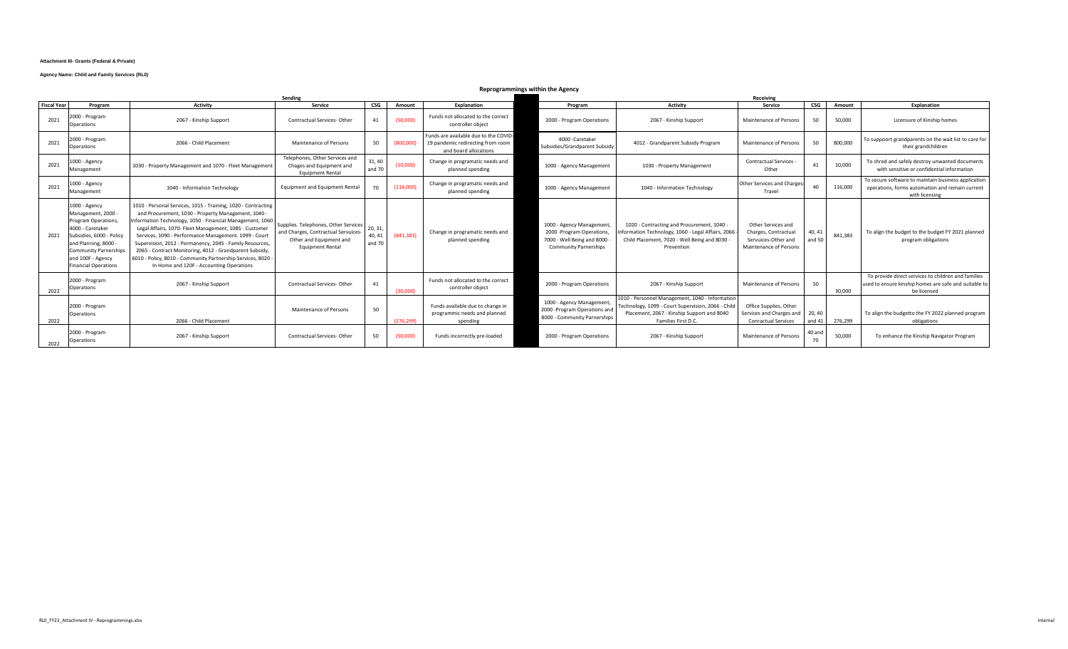#### **Attachment III- Grants (Federal & Private)**

### **Agency Name: Child and Family Services (RL0)**

# **Reprogrammings within the Agency**

|                    | Sending                                                                                                                                                                                                                |                                                                                                                                                                                                                                                                                                                                                                                                                                                                                                                                        |                                                                                                                                  |                            |            |                                                                                                     |                                                                                                                     | Receiving |                                                                                                                                                                            |                                                                                             |                  |               |                                                                                                                             |
|--------------------|------------------------------------------------------------------------------------------------------------------------------------------------------------------------------------------------------------------------|----------------------------------------------------------------------------------------------------------------------------------------------------------------------------------------------------------------------------------------------------------------------------------------------------------------------------------------------------------------------------------------------------------------------------------------------------------------------------------------------------------------------------------------|----------------------------------------------------------------------------------------------------------------------------------|----------------------------|------------|-----------------------------------------------------------------------------------------------------|---------------------------------------------------------------------------------------------------------------------|-----------|----------------------------------------------------------------------------------------------------------------------------------------------------------------------------|---------------------------------------------------------------------------------------------|------------------|---------------|-----------------------------------------------------------------------------------------------------------------------------|
| <b>Fiscal Year</b> | Program                                                                                                                                                                                                                | <b>Activity</b>                                                                                                                                                                                                                                                                                                                                                                                                                                                                                                                        | Service                                                                                                                          | <b>CSG</b>                 | Amount     | Explanation                                                                                         | Program                                                                                                             |           | <b>Activity</b>                                                                                                                                                            | Service                                                                                     | <b>CSG</b>       | <b>Amount</b> | Explanation                                                                                                                 |
| 2021               | 2000 - Program<br><b>Operations</b>                                                                                                                                                                                    | 2067 - Kinship Support                                                                                                                                                                                                                                                                                                                                                                                                                                                                                                                 | Contractual Services-Other                                                                                                       | 41                         | (50.000)   | Funds not allocated to the correct<br>controller object                                             | 2000 - Program Operations                                                                                           |           | 2067 - Kinship Support                                                                                                                                                     | Maintenance of Persons                                                                      | 50               | 50,000        | Licensure of Kinship homes                                                                                                  |
| 2021               | 2000 - Program<br>Operations                                                                                                                                                                                           | 2066 - Child Placement                                                                                                                                                                                                                                                                                                                                                                                                                                                                                                                 | <b>Maintenance of Persons</b>                                                                                                    | 50                         | (800.000)  | Funds are available due to the COVID-<br>19 pandemic redirecting from room<br>and board allocations | 4000 - Caretaker<br>Subsidies/Grandparent Subsidy                                                                   |           | 4012 - Grandparent Subsidy Program                                                                                                                                         | Maintenance of Persons                                                                      |                  | 800,000       | To suppoort grandparents on the wait list to care for<br>their grandchildren                                                |
| 2021               | 1000 - Agency<br>Management                                                                                                                                                                                            | 1030 - Property Management and 1070 - Fleet Management                                                                                                                                                                                                                                                                                                                                                                                                                                                                                 | Telephones, Other Services and<br>Chages and Equipment and<br><b>Equipment Rental</b>                                            | 31,40<br>and 70            | (10,000)   | Change in programatic needs and<br>planned spending                                                 | 1000 - Agency Management                                                                                            |           | 1030 - Property Management                                                                                                                                                 | <b>Contractual Services</b><br>Other                                                        |                  | 10.000        | To shred and safely destroy unwanted documents<br>with sensitive or confidential information                                |
| 2021               | 1000 - Agency<br>Management                                                                                                                                                                                            | 1040 - Information Technology                                                                                                                                                                                                                                                                                                                                                                                                                                                                                                          | Equipment and Equipment Rental                                                                                                   | 70                         | (116,000)  | Change in programatic needs and<br>planned spending                                                 | 1000 - Agency Management                                                                                            |           | 1040 - Information Technology                                                                                                                                              | Other Services and Charges<br>Travel                                                        | 40               | 116,000       | To secure software to maintain business application<br>operations, forms automation and remain current<br>with licensing    |
| 2021               | 1000 - Agency<br>Management, 2000 -<br>Program Operations,<br>4000 - Caretaker<br>Subsidies, 6000 - Policy<br>and Planning, 8000 -<br><b>Community Parnerships</b><br>and 100F - Agency<br><b>Financial Operations</b> | 1010 - Personal Services, 1015 - Training, 1020 - Contracting<br>and Procurement, 1030 - Property Management, 1040 -<br>Information Technology, 1050 - Financial Management, 1060<br>Legal Affairs, 1070- Fleet Management, 1085 - Customer<br>Services, 1090 - Performance Management. 1099 - Court<br>Supervision, 2012 - Permanency, 2045 - Family Resources,<br>2065 - Contract Monitoring, 4012 - Grandparent Subsidy<br>6010 - Policy, 8010 - Community Partnership Services, 8020 -<br>In Home and 120F - Accounting Operations | Supplies. Telephones, Other Services<br>and Charges, Contractual Servuices<br>Other and Equipment and<br><b>Equipment Rental</b> | 20, 31<br>40, 41<br>and 70 | (841, 383) | Change in programatic needs and<br>planned spending                                                 | 1000 - Agency Management<br>2000 - Program Operations<br>7000 - Well Being and 8000<br><b>Community Parnerships</b> |           | 1020 - Contracting and Procurement, 1040 -<br>nformation Technology, 1060 - Legal Affairs, 2066<br>Child Placement, 7020 - Well Being and 8030 -<br>Prevention             | Other Services and<br>Charges, Contractual<br>Servuices-Other and<br>Maintenance of Persons | 40, 41<br>and 50 | 841,383       | To align the budget to the budget FY 2021 planned<br>program obligations                                                    |
| 2022               | 2000 - Program<br>Operations                                                                                                                                                                                           | 2067 - Kinship Support                                                                                                                                                                                                                                                                                                                                                                                                                                                                                                                 | Contractual Services-Other                                                                                                       | 41                         | (30.000)   | Funds not allocated to the correct<br>controller object                                             | 2000 - Program Operations                                                                                           |           | 2067 - Kinship Support                                                                                                                                                     | Maintenance of Persons                                                                      | 50               | 30,000        | To provide direct services to children and families<br>used to ensure kinship homes are safe and suitable to<br>be licensed |
| 2022               | 2000 - Program<br>Operations                                                                                                                                                                                           | 2066 - Child Placement                                                                                                                                                                                                                                                                                                                                                                                                                                                                                                                 | Maintenance of Persons                                                                                                           | 50                         | (276.299)  | Funds available due to change in<br>programmic needs and planned<br>spending                        | 1000 - Agency Management<br>2000 - Program Operations and<br>8000 - Community Parnerships                           |           | 1010 - Personnel Management, 1040 - Information<br>Technology, 1099 - Court Supervision, 2066 - Child<br>Placement, 2067 - Kinship Support and 8040<br>Families First D.C. | Office Supplies, Other<br>Services and Charges and 20, 40<br><b>Conractual Services</b>     | and 41           | 276,299       | To align the budgetto the FY 2022 planned program<br>obligations                                                            |
| 2022               | 2000 - Program<br>Operations                                                                                                                                                                                           | 2067 - Kinship Support                                                                                                                                                                                                                                                                                                                                                                                                                                                                                                                 | Contractual Services-Other                                                                                                       | 50                         | (50,000)   | Funds incorrectly pre-loaded                                                                        | 2000 - Program Operations                                                                                           |           | 2067 - Kinship Support                                                                                                                                                     | Maintenance of Persons                                                                      | 40 and<br>70     | 50,000        | To enhance the Kinship Navigator Program                                                                                    |